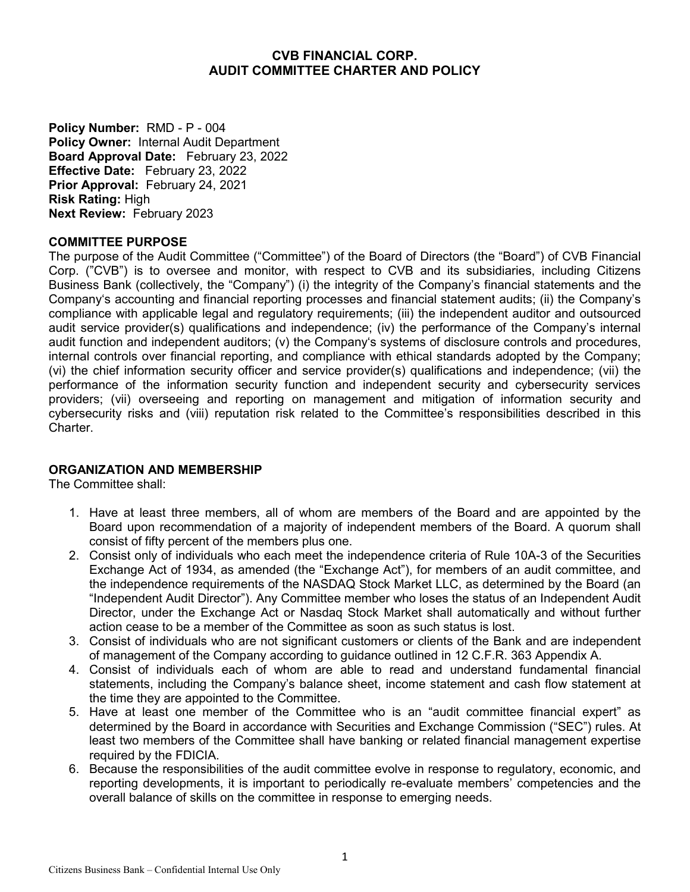## **CVB FINANCIAL CORP. AUDIT COMMITTEE CHARTER AND POLICY**

**Policy Number:** RMD - P - 004 **Policy Owner:** Internal Audit Department **Board Approval Date:** February 23, 2022 **Effective Date:** February 23, 2022 **Prior Approval:** February 24, 2021 **Risk Rating:** High **Next Review:** February 2023

## **COMMITTEE PURPOSE**

The purpose of the Audit Committee ("Committee") of the Board of Directors (the "Board") of CVB Financial Corp. ("CVB") is to oversee and monitor, with respect to CVB and its subsidiaries, including Citizens Business Bank (collectively, the "Company") (i) the integrity of the Company's financial statements and the Company's accounting and financial reporting processes and financial statement audits; (ii) the Company's compliance with applicable legal and regulatory requirements; (iii) the independent auditor and outsourced audit service provider(s) qualifications and independence; (iv) the performance of the Company's internal audit function and independent auditors; (v) the Company's systems of disclosure controls and procedures, internal controls over financial reporting, and compliance with ethical standards adopted by the Company; (vi) the chief information security officer and service provider(s) qualifications and independence; (vii) the performance of the information security function and independent security and cybersecurity services providers; (vii) overseeing and reporting on management and mitigation of information security and cybersecurity risks and (viii) reputation risk related to the Committee's responsibilities described in this Charter.

## **ORGANIZATION AND MEMBERSHIP**

The Committee shall:

- 1. Have at least three members, all of whom are members of the Board and are appointed by the Board upon recommendation of a majority of independent members of the Board. A quorum shall consist of fifty percent of the members plus one.
- 2. Consist only of individuals who each meet the independence criteria of Rule 10A-3 of the Securities Exchange Act of 1934, as amended (the "Exchange Act"), for members of an audit committee, and the independence requirements of the NASDAQ Stock Market LLC, as determined by the Board (an "Independent Audit Director"). Any Committee member who loses the status of an Independent Audit Director, under the Exchange Act or Nasdaq Stock Market shall automatically and without further action cease to be a member of the Committee as soon as such status is lost.
- 3. Consist of individuals who are not significant customers or clients of the Bank and are independent of management of the Company according to guidance outlined in 12 C.F.R. 363 Appendix A.
- 4. Consist of individuals each of whom are able to read and understand fundamental financial statements, including the Company's balance sheet, income statement and cash flow statement at the time they are appointed to the Committee.
- 5. Have at least one member of the Committee who is an "audit committee financial expert" as determined by the Board in accordance with Securities and Exchange Commission ("SEC") rules. At least two members of the Committee shall have banking or related financial management expertise required by the FDICIA.
- 6. Because the responsibilities of the audit committee evolve in response to regulatory, economic, and reporting developments, it is important to periodically re-evaluate members' competencies and the overall balance of skills on the committee in response to emerging needs.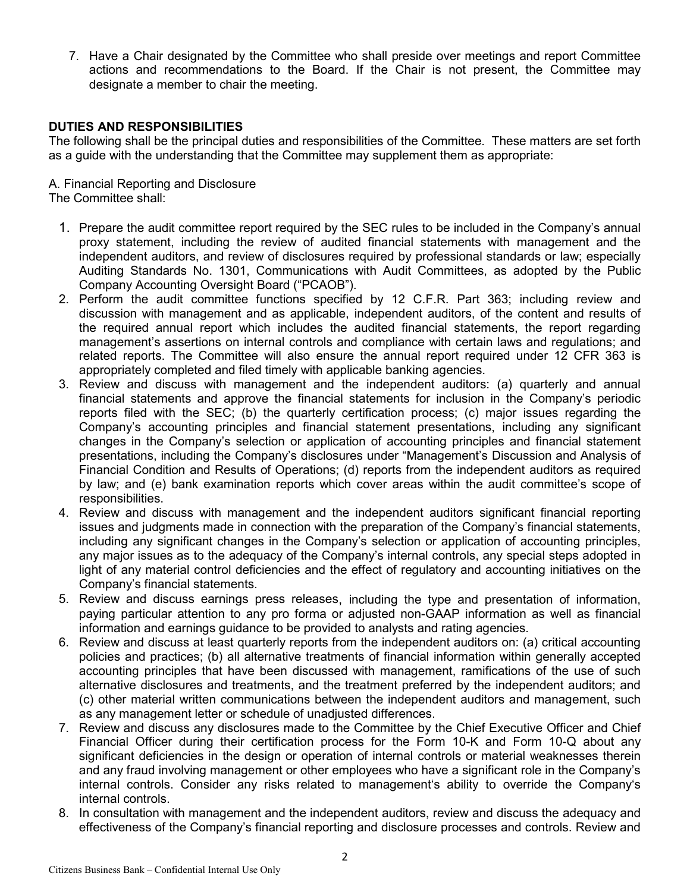7. Have a Chair designated by the Committee who shall preside over meetings and report Committee actions and recommendations to the Board. If the Chair is not present, the Committee may designate a member to chair the meeting.

## **DUTIES AND RESPONSIBILITIES**

The following shall be the principal duties and responsibilities of the Committee. These matters are set forth as a guide with the understanding that the Committee may supplement them as appropriate:

A. Financial Reporting and Disclosure

The Committee shall:

- 1. Prepare the audit committee report required by the SEC rules to be included in the Company's annual proxy statement, including the review of audited financial statements with management and the independent auditors, and review of disclosures required by professional standards or law; especially Auditing Standards No. 1301, Communications with Audit Committees, as adopted by the Public Company Accounting Oversight Board ("PCAOB").
- 2. Perform the audit committee functions specified by 12 C.F.R. Part 363; including review and discussion with management and as applicable, independent auditors, of the content and results of the required annual report which includes the audited financial statements, the report regarding management's assertions on internal controls and compliance with certain laws and regulations; and related reports. The Committee will also ensure the annual report required under 12 CFR 363 is appropriately completed and filed timely with applicable banking agencies.
- 3. Review and discuss with management and the independent auditors: (a) quarterly and annual financial statements and approve the financial statements for inclusion in the Company's periodic reports filed with the SEC; (b) the quarterly certification process; (c) major issues regarding the Company's accounting principles and financial statement presentations, including any significant changes in the Company's selection or application of accounting principles and financial statement presentations, including the Company's disclosures under "Management's Discussion and Analysis of Financial Condition and Results of Operations; (d) reports from the independent auditors as required by law; and (e) bank examination reports which cover areas within the audit committee's scope of responsibilities.
- 4. Review and discuss with management and the independent auditors significant financial reporting issues and judgments made in connection with the preparation of the Company's financial statements, including any significant changes in the Company's selection or application of accounting principles, any major issues as to the adequacy of the Company's internal controls, any special steps adopted in light of any material control deficiencies and the effect of regulatory and accounting initiatives on the Company's financial statements.
- 5. Review and discuss earnings press releases, including the type and presentation of information, paying particular attention to any pro forma or adjusted non-GAAP information as well as financial information and earnings guidance to be provided to analysts and rating agencies.
- 6. Review and discuss at least quarterly reports from the independent auditors on: (a) critical accounting policies and practices; (b) all alternative treatments of financial information within generally accepted accounting principles that have been discussed with management, ramifications of the use of such alternative disclosures and treatments, and the treatment preferred by the independent auditors; and (c) other material written communications between the independent auditors and management, such as any management letter or schedule of unadjusted differences.
- 7. Review and discuss any disclosures made to the Committee by the Chief Executive Officer and Chief Financial Officer during their certification process for the Form 10-K and Form 10-Q about any significant deficiencies in the design or operation of internal controls or material weaknesses therein and any fraud involving management or other employees who have a significant role in the Company's internal controls. Consider any risks related to management's ability to override the Company's internal controls.
- 8. In consultation with management and the independent auditors, review and discuss the adequacy and effectiveness of the Company's financial reporting and disclosure processes and controls. Review and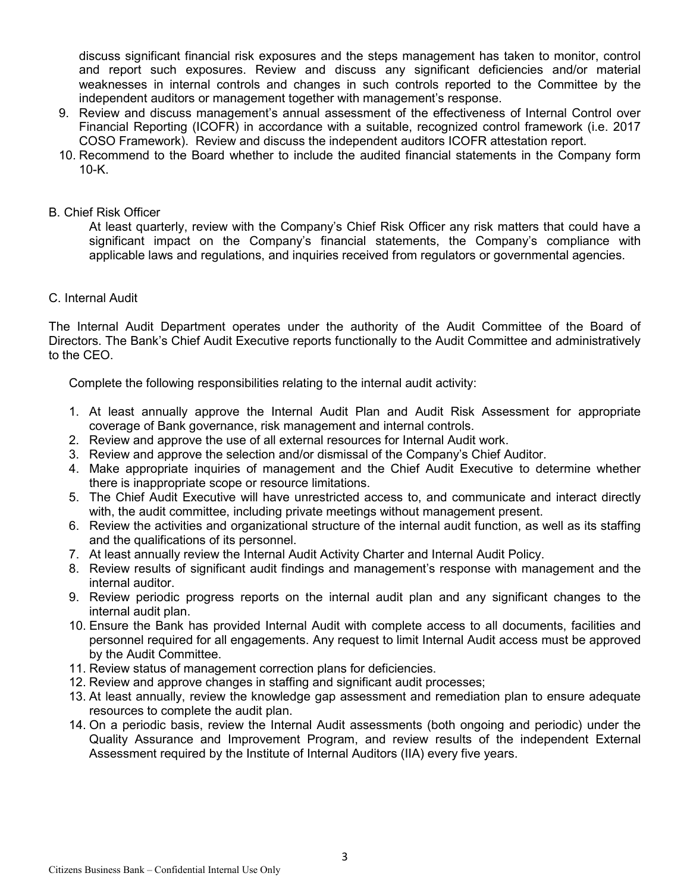discuss significant financial risk exposures and the steps management has taken to monitor, control and report such exposures. Review and discuss any significant deficiencies and/or material weaknesses in internal controls and changes in such controls reported to the Committee by the independent auditors or management together with management's response.

- 9. Review and discuss management's annual assessment of the effectiveness of Internal Control over Financial Reporting (ICOFR) in accordance with a suitable, recognized control framework (i.e. 2017 COSO Framework). Review and discuss the independent auditors ICOFR attestation report.
- 10. Recommend to the Board whether to include the audited financial statements in the Company form 10-K.

### B. Chief Risk Officer

At least quarterly, review with the Company's Chief Risk Officer any risk matters that could have a significant impact on the Company's financial statements, the Company's compliance with applicable laws and regulations, and inquiries received from regulators or governmental agencies.

C. Internal Audit

The Internal Audit Department operates under the authority of the Audit Committee of the Board of Directors. The Bank's Chief Audit Executive reports functionally to the Audit Committee and administratively to the CEO.

Complete the following responsibilities relating to the internal audit activity:

- 1. At least annually approve the Internal Audit Plan and Audit Risk Assessment for appropriate coverage of Bank governance, risk management and internal controls.
- 2. Review and approve the use of all external resources for Internal Audit work.
- 3. Review and approve the selection and/or dismissal of the Company's Chief Auditor.
- 4. Make appropriate inquiries of management and the Chief Audit Executive to determine whether there is inappropriate scope or resource limitations.
- 5. The Chief Audit Executive will have unrestricted access to, and communicate and interact directly with, the audit committee, including private meetings without management present.
- 6. Review the activities and organizational structure of the internal audit function, as well as its staffing and the qualifications of its personnel.
- 7. At least annually review the Internal Audit Activity Charter and Internal Audit Policy.
- 8. Review results of significant audit findings and management's response with management and the internal auditor.
- 9. Review periodic progress reports on the internal audit plan and any significant changes to the internal audit plan.
- 10. Ensure the Bank has provided Internal Audit with complete access to all documents, facilities and personnel required for all engagements. Any request to limit Internal Audit access must be approved by the Audit Committee.
- 11. Review status of management correction plans for deficiencies.
- 12. Review and approve changes in staffing and significant audit processes;
- 13. At least annually, review the knowledge gap assessment and remediation plan to ensure adequate resources to complete the audit plan.
- 14. On a periodic basis, review the Internal Audit assessments (both ongoing and periodic) under the Quality Assurance and Improvement Program, and review results of the independent External Assessment required by the Institute of Internal Auditors (IIA) every five years.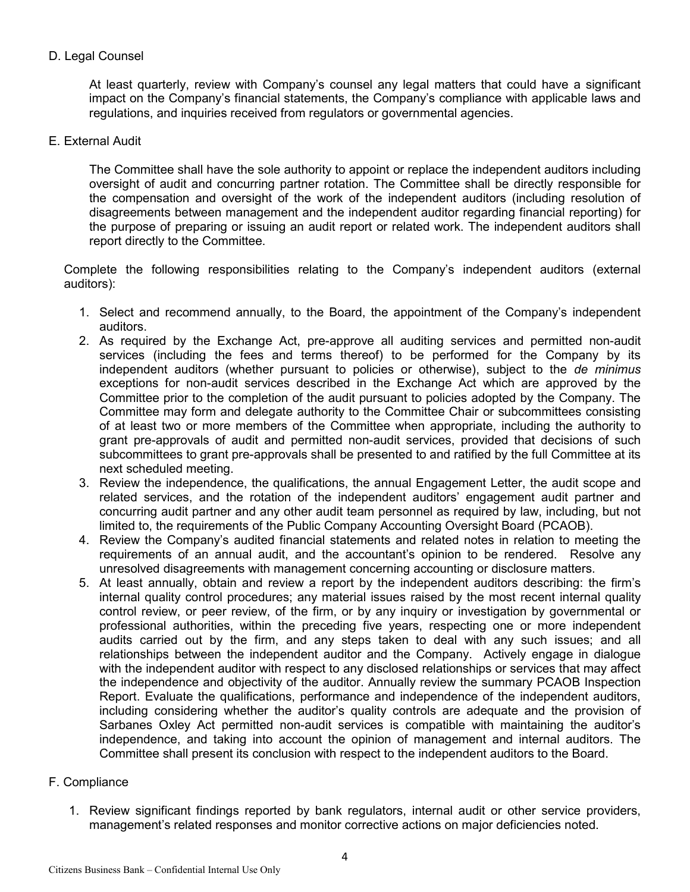# D. Legal Counsel

At least quarterly, review with Company's counsel any legal matters that could have a significant impact on the Company's financial statements, the Company's compliance with applicable laws and regulations, and inquiries received from regulators or governmental agencies.

### E. External Audit

The Committee shall have the sole authority to appoint or replace the independent auditors including oversight of audit and concurring partner rotation. The Committee shall be directly responsible for the compensation and oversight of the work of the independent auditors (including resolution of disagreements between management and the independent auditor regarding financial reporting) for the purpose of preparing or issuing an audit report or related work. The independent auditors shall report directly to the Committee.

Complete the following responsibilities relating to the Company's independent auditors (external auditors):

- 1. Select and recommend annually, to the Board, the appointment of the Company's independent auditors.
- 2. As required by the Exchange Act, pre-approve all auditing services and permitted non-audit services (including the fees and terms thereof) to be performed for the Company by its independent auditors (whether pursuant to policies or otherwise), subject to the *de minimus*  exceptions for non-audit services described in the Exchange Act which are approved by the Committee prior to the completion of the audit pursuant to policies adopted by the Company. The Committee may form and delegate authority to the Committee Chair or subcommittees consisting of at least two or more members of the Committee when appropriate, including the authority to grant pre-approvals of audit and permitted non-audit services, provided that decisions of such subcommittees to grant pre-approvals shall be presented to and ratified by the full Committee at its next scheduled meeting.
- 3. Review the independence, the qualifications, the annual Engagement Letter, the audit scope and related services, and the rotation of the independent auditors' engagement audit partner and concurring audit partner and any other audit team personnel as required by law, including, but not limited to, the requirements of the Public Company Accounting Oversight Board (PCAOB).
- 4. Review the Company's audited financial statements and related notes in relation to meeting the requirements of an annual audit, and the accountant's opinion to be rendered. Resolve any unresolved disagreements with management concerning accounting or disclosure matters.
- 5. At least annually, obtain and review a report by the independent auditors describing: the firm's internal quality control procedures; any material issues raised by the most recent internal quality control review, or peer review, of the firm, or by any inquiry or investigation by governmental or professional authorities, within the preceding five years, respecting one or more independent audits carried out by the firm, and any steps taken to deal with any such issues; and all relationships between the independent auditor and the Company. Actively engage in dialogue with the independent auditor with respect to any disclosed relationships or services that may affect the independence and objectivity of the auditor. Annually review the summary PCAOB Inspection Report. Evaluate the qualifications, performance and independence of the independent auditors, including considering whether the auditor's quality controls are adequate and the provision of Sarbanes Oxley Act permitted non-audit services is compatible with maintaining the auditor's independence, and taking into account the opinion of management and internal auditors. The Committee shall present its conclusion with respect to the independent auditors to the Board.

## F. Compliance

1. Review significant findings reported by bank regulators, internal audit or other service providers, management's related responses and monitor corrective actions on major deficiencies noted.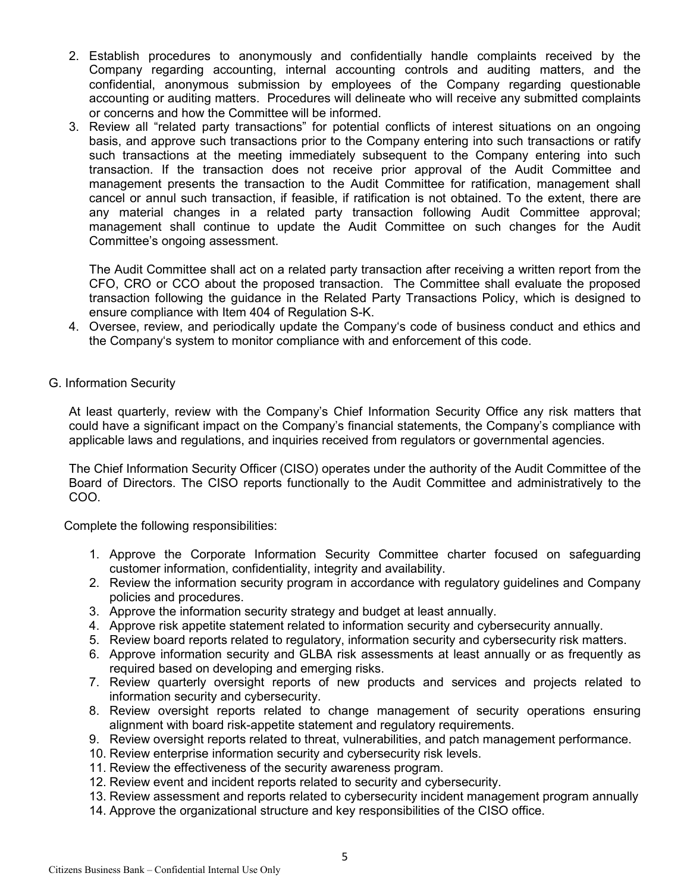- 2. Establish procedures to anonymously and confidentially handle complaints received by the Company regarding accounting, internal accounting controls and auditing matters, and the confidential, anonymous submission by employees of the Company regarding questionable accounting or auditing matters. Procedures will delineate who will receive any submitted complaints or concerns and how the Committee will be informed.
- 3. Review all "related party transactions" for potential conflicts of interest situations on an ongoing basis, and approve such transactions prior to the Company entering into such transactions or ratify such transactions at the meeting immediately subsequent to the Company entering into such transaction. If the transaction does not receive prior approval of the Audit Committee and management presents the transaction to the Audit Committee for ratification, management shall cancel or annul such transaction, if feasible, if ratification is not obtained. To the extent, there are any material changes in a related party transaction following Audit Committee approval; management shall continue to update the Audit Committee on such changes for the Audit Committee's ongoing assessment.

The Audit Committee shall act on a related party transaction after receiving a written report from the CFO, CRO or CCO about the proposed transaction. The Committee shall evaluate the proposed transaction following the guidance in the Related Party Transactions Policy, which is designed to ensure compliance with Item 404 of Regulation S-K.

- 4. Oversee, review, and periodically update the Company's code of business conduct and ethics and the Company's system to monitor compliance with and enforcement of this code.
- G. Information Security

At least quarterly, review with the Company's Chief Information Security Office any risk matters that could have a significant impact on the Company's financial statements, the Company's compliance with applicable laws and regulations, and inquiries received from regulators or governmental agencies.

The Chief Information Security Officer (CISO) operates under the authority of the Audit Committee of the Board of Directors. The CISO reports functionally to the Audit Committee and administratively to the COO.

Complete the following responsibilities:

- 1. Approve the Corporate Information Security Committee charter focused on safeguarding customer information, confidentiality, integrity and availability.
- 2. Review the information security program in accordance with regulatory guidelines and Company policies and procedures.
- 3. Approve the information security strategy and budget at least annually.
- 4. Approve risk appetite statement related to information security and cybersecurity annually.
- 5. Review board reports related to regulatory, information security and cybersecurity risk matters.
- 6. Approve information security and GLBA risk assessments at least annually or as frequently as required based on developing and emerging risks.
- 7. Review quarterly oversight reports of new products and services and projects related to information security and cybersecurity.
- 8. Review oversight reports related to change management of security operations ensuring alignment with board risk-appetite statement and regulatory requirements.
- 9. Review oversight reports related to threat, vulnerabilities, and patch management performance.
- 10. Review enterprise information security and cybersecurity risk levels.
- 11. Review the effectiveness of the security awareness program.
- 12. Review event and incident reports related to security and cybersecurity.
- 13. Review assessment and reports related to cybersecurity incident management program annually
- 14. Approve the organizational structure and key responsibilities of the CISO office.